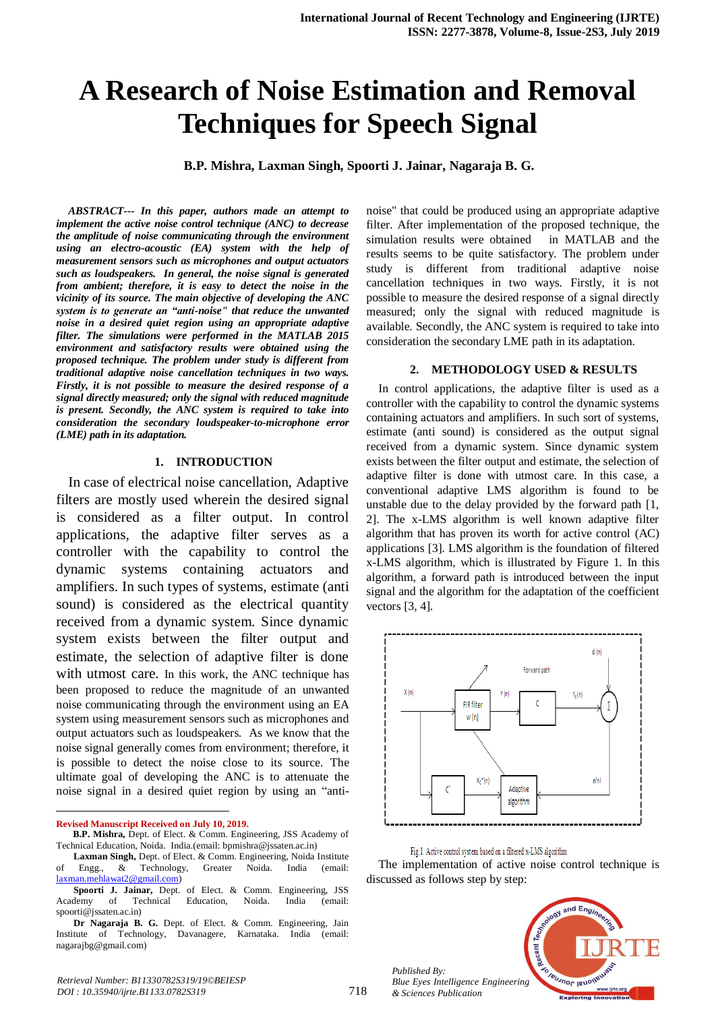# **A Research of Noise Estimation and Removal Techniques for Speech Signal**

**B.P. Mishra, Laxman Singh, Spoorti J. Jainar, Nagaraja B. G.**

*ABSTRACT--- In this paper, authors made an attempt to implement the active noise control technique (ANC) to decrease the amplitude of noise communicating through the environment using an electro-acoustic (EA) system with the help of measurement sensors such as microphones and output actuators such as loudspeakers. In general, the noise signal is generated from ambient; therefore, it is easy to detect the noise in the vicinity of its source. The main objective of developing the ANC system is to generate an "anti-noise" that reduce the unwanted noise in a desired quiet region using an appropriate adaptive filter. The simulations were performed in the MATLAB 2015 environment and satisfactory results were obtained using the proposed technique. The problem under study is different from traditional adaptive noise cancellation techniques in two ways. Firstly, it is not possible to measure the desired response of a signal directly measured; only the signal with reduced magnitude is present. Secondly, the ANC system is required to take into consideration the secondary loudspeaker-to-microphone error (LME) path in its adaptation.*

# **1. INTRODUCTION**

In case of electrical noise cancellation, Adaptive filters are mostly used wherein the desired signal is considered as a filter output. In control applications, the adaptive filter serves as a controller with the capability to control the dynamic systems containing actuators and amplifiers. In such types of systems, estimate (anti sound) is considered as the electrical quantity received from a dynamic system. Since dynamic system exists between the filter output and estimate, the selection of adaptive filter is done with utmost care. In this work, the ANC technique has been proposed to reduce the magnitude of an unwanted noise communicating through the environment using an EA system using measurement sensors such as microphones and output actuators such as loudspeakers. As we know that the noise signal generally comes from environment; therefore, it is possible to detect the noise close to its source. The ultimate goal of developing the ANC is to attenuate the noise signal in a desired quiet region by using an "anti-

 $\overline{a}$ 

noise" that could be produced using an appropriate adaptive filter. After implementation of the proposed technique, the simulation results were obtained in MATLAB and the results seems to be quite satisfactory. The problem under study is different from traditional adaptive noise cancellation techniques in two ways. Firstly, it is not possible to measure the desired response of a signal directly measured; only the signal with reduced magnitude is available. Secondly, the ANC system is required to take into consideration the secondary LME path in its adaptation.

#### **2. METHODOLOGY USED & RESULTS**

In control applications, the adaptive filter is used as a controller with the capability to control the dynamic systems containing actuators and amplifiers. In such sort of systems, estimate (anti sound) is considered as the output signal received from a dynamic system. Since dynamic system exists between the filter output and estimate, the selection of adaptive filter is done with utmost care. In this case, a conventional adaptive LMS algorithm is found to be unstable due to the delay provided by the forward path [1, 2]. The x-LMS algorithm is well known adaptive filter algorithm that has proven its worth for active control (AC) applications [3]. LMS algorithm is the foundation of filtered x-LMS algorithm, which is illustrated by Figure 1. In this algorithm, a forward path is introduced between the input signal and the algorithm for the adaptation of the coefficient vectors [3, 4].



Fig.1. Active control system based on a filtered x-LMS algorithm

The implementation of active noise control technique is discussed as follows step by step:



*Published By: Blue Eyes Intelligence Engineering & Sciences Publication* 

**Revised Manuscript Received on July 10, 2019.**

**B.P. Mishra,** Dept. of Elect. & Comm. Engineering, JSS Academy of Technical Education, Noida. India.(email: bpmishra@jssaten.ac.in)

**Laxman Singh,** Dept. of Elect. & Comm. Engineering, Noida Institute of Engg., & Technology, Greater Noida. India (email: [laxman.mehlawat2@gmail.com\)](mailto:laxman.mehlawat2@gmail.com)

**Spoorti J. Jainar,** Dept. of Elect. & Comm. Engineering, JSS Academy of Technical Education, Noida. India (email: spoorti@jssaten.ac.in)

**Dr Nagaraja B. G.** Dept. of Elect. & Comm. Engineering, Jain Institute of Technology, Davanagere, Karnataka. India (email: nagarajbg@gmail.com)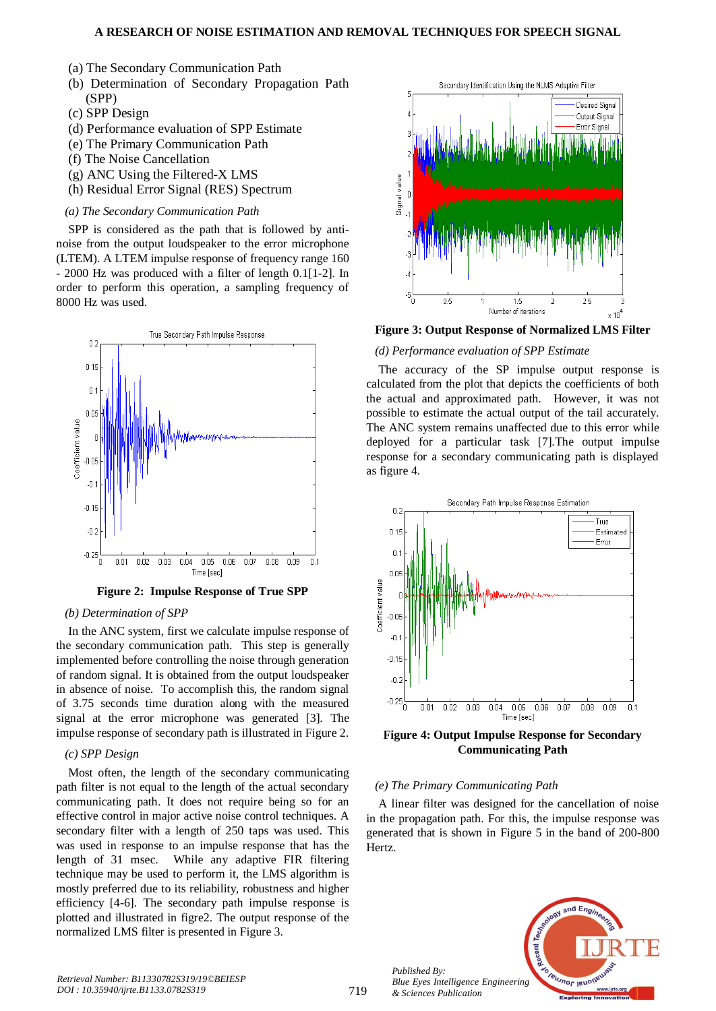- (a) The Secondary Communication Path
- (b) Determination of Secondary Propagation Path (SPP)
- (c) SPP Design
- (d) Performance evaluation of SPP Estimate
- (e) The Primary Communication Path
- (f) The Noise Cancellation
- (g) ANC Using the Filtered-X LMS
- (h) Residual Error Signal (RES) Spectrum

#### *(a) The Secondary Communication Path*

SPP is considered as the path that is followed by antinoise from the output loudspeaker to the error microphone (LTEM). A LTEM impulse response of frequency range 160 - 2000 Hz was produced with a filter of length 0.1[1-2]. In order to perform this operation, a sampling frequency of 8000 Hz was used.



**Figure 2: Impulse Response of True SPP**

## *(b) Determination of SPP*

In the ANC system, first we calculate impulse response of the secondary communication path. This step is generally implemented before controlling the noise through generation of random signal. It is obtained from the output loudspeaker in absence of noise. To accomplish this, the random signal of 3.75 seconds time duration along with the measured signal at the error microphone was generated [3]. The impulse response of secondary path is illustrated in Figure 2.

# *(c) SPP Design*

Most often, the length of the secondary communicating path filter is not equal to the length of the actual secondary communicating path. It does not require being so for an effective control in major active noise control techniques. A secondary filter with a length of 250 taps was used. This was used in response to an impulse response that has the length of 31 msec. While any adaptive FIR filtering technique may be used to perform it, the LMS algorithm is mostly preferred due to its reliability, robustness and higher efficiency [4-6]. The secondary path impulse response is plotted and illustrated in figre2. The output response of the normalized LMS filter is presented in Figure 3.



**Figure 3: Output Response of Normalized LMS Filter** 

#### *(d) Performance evaluation of SPP Estimate*

The accuracy of the SP impulse output response is calculated from the plot that depicts the coefficients of both the actual and approximated path. However, it was not possible to estimate the actual output of the tail accurately. The ANC system remains unaffected due to this error while deployed for a particular task [7].The output impulse response for a secondary communicating path is displayed as figure 4.



**Figure 4: Output Impulse Response for Secondary Communicating Path**

### *(e) The Primary Communicating Path*

A linear filter was designed for the cancellation of noise in the propagation path. For this, the impulse response was generated that is shown in Figure 5 in the band of 200-800 Hertz.



*Published By:*

*& Sciences Publication*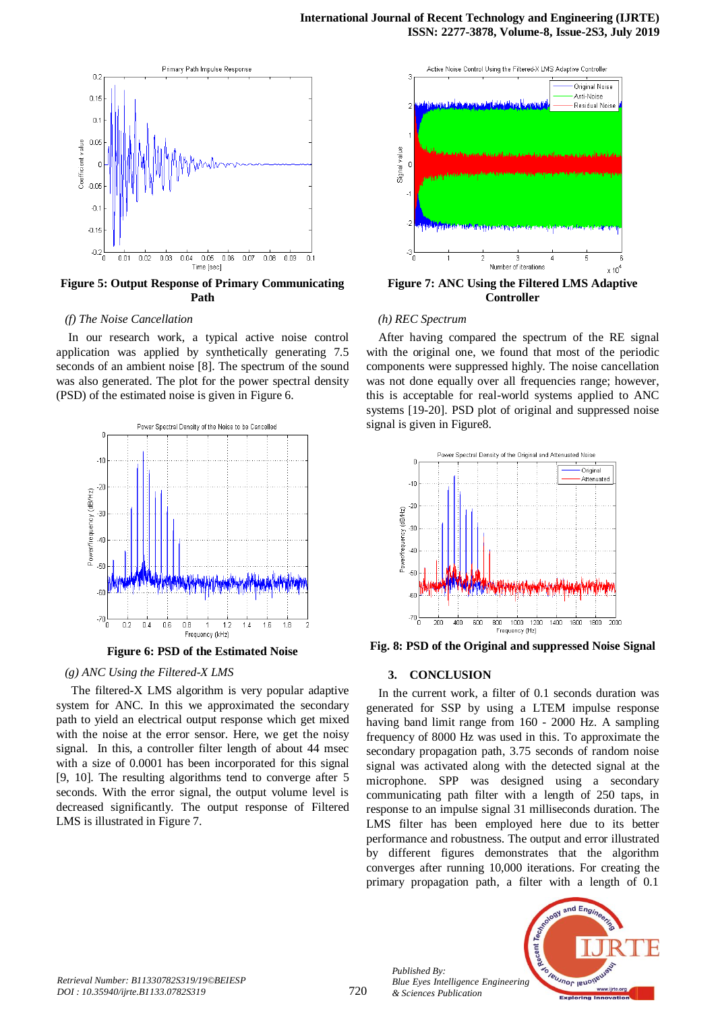

**Figure 5: Output Response of Primary Communicating Path**

#### *(f) The Noise Cancellation*

In our research work, a typical active noise control application was applied by synthetically generating 7.5 seconds of an ambient noise [8]. The spectrum of the sound was also generated. The plot for the power spectral density (PSD) of the estimated noise is given in Figure 6.



**Figure 6: PSD of the Estimated Noise**

#### *(g) ANC Using the Filtered-X LMS*

The filtered-X LMS algorithm is very popular adaptive system for ANC. In this we approximated the secondary path to yield an electrical output response which get mixed with the noise at the error sensor. Here, we get the noisy signal. In this, a controller filter length of about 44 msec with a size of 0.0001 has been incorporated for this signal [9, 10]. The resulting algorithms tend to converge after 5 seconds. With the error signal, the output volume level is decreased significantly. The output response of Filtered LMS is illustrated in Figure 7.



**Figure 7: ANC Using the Filtered LMS Adaptive Controller** 

#### *(h) REC Spectrum*

After having compared the spectrum of the RE signal with the original one, we found that most of the periodic components were suppressed highly. The noise cancellation was not done equally over all frequencies range; however, this is acceptable for real-world systems applied to ANC systems [19-20]. PSD plot of original and suppressed noise signal is given in Figure8.



**Fig. 8: PSD of the Original and suppressed Noise Signal**

#### **3. CONCLUSION**

In the current work, a filter of 0.1 seconds duration was generated for SSP by using a LTEM impulse response having band limit range from 160 - 2000 Hz. A sampling frequency of 8000 Hz was used in this. To approximate the secondary propagation path, 3.75 seconds of random noise signal was activated along with the detected signal at the microphone. SPP was designed using a secondary communicating path filter with a length of 250 taps, in response to an impulse signal 31 milliseconds duration. The LMS filter has been employed here due to its better performance and robustness. The output and error illustrated by different figures demonstrates that the algorithm converges after running 10,000 iterations. For creating the primary propagation path, a filter with a length of 0.1



*Published By:*

*& Sciences Publication*